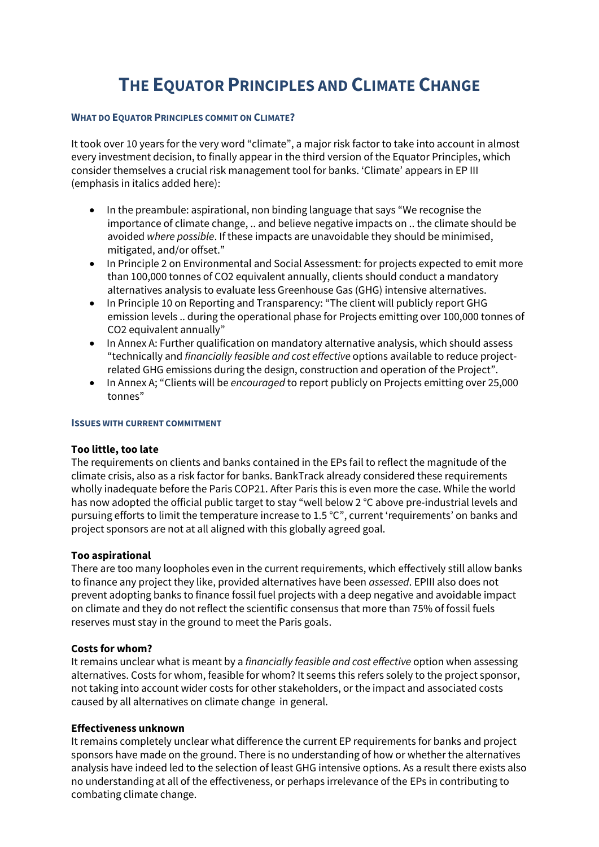# **THE EQUATOR PRINCIPLES AND CLIMATE CHANGE**

## **WHAT DO EQUATOR PRINCIPLES COMMIT ON CLIMATE?**

It took over 10 years for the very word "climate", a major risk factor to take into account in almost every investment decision, to finally appear in the third version of the Equator Principles, which consider themselves a crucial risk management tool for banks. 'Climate' appears in EP III (emphasis in italics added here):

- In the preambule: aspirational, non binding language that says "We recognise the importance of climate change, .. and believe negative impacts on .. the climate should be avoided *where possible*. If these impacts are unavoidable they should be minimised, mitigated, and/or offset."
- In Principle 2 on Environmental and Social Assessment: for projects expected to emit more than 100,000 tonnes of CO2 equivalent annually, clients should conduct a mandatory alternatives analysis to evaluate less Greenhouse Gas (GHG) intensive alternatives.
- In Principle 10 on Reporting and Transparency: "The client will publicly report GHG emission levels .. during the operational phase for Projects emitting over 100,000 tonnes of CO2 equivalent annually"
- In Annex A: Further qualification on mandatory alternative analysis, which should assess "technically and *financially feasible and cost effective* options available to reduce projectrelated GHG emissions during the design, construction and operation of the Project".
- In Annex A; "Clients will be *encouraged* to report publicly on Projects emitting over 25,000 tonnes"

#### **ISSUES WITH CURRENT COMMITMENT**

## **Too little, too late**

The requirements on clients and banks contained in the EPs fail to reflect the magnitude of the climate crisis, also as a risk factor for banks. BankTrack already considered these requirements wholly inadequate before the Paris COP21. After Paris this is even more the case. While the world has now adopted the official public target to stay "well below 2 °C above pre-industrial levels and pursuing efforts to limit the temperature increase to 1.5 °C", current 'requirements' on banks and project sponsors are not at all aligned with this globally agreed goal.

## **Too aspirational**

There are too many loopholes even in the current requirements, which effectively still allow banks to finance any project they like, provided alternatives have been *assessed*. EPIII also does not prevent adopting banks to finance fossil fuel projects with a deep negative and avoidable impact on climate and they do not reflect the scientific consensus that more than 75% of fossil fuels reserves must stay in the ground to meet the Paris goals.

## **Costs for whom?**

It remains unclear what is meant by a *financially feasible and cost effective* option when assessing alternatives. Costs for whom, feasible for whom? It seems this refers solely to the project sponsor, not taking into account wider costs for other stakeholders, or the impact and associated costs caused by all alternatives on climate change in general.

## **Effectiveness unknown**

It remains completely unclear what difference the current EP requirements for banks and project sponsors have made on the ground. There is no understanding of how or whether the alternatives analysis have indeed led to the selection of least GHG intensive options. As a result there exists also no understanding at all of the effectiveness, or perhaps irrelevance of the EPs in contributing to combating climate change.